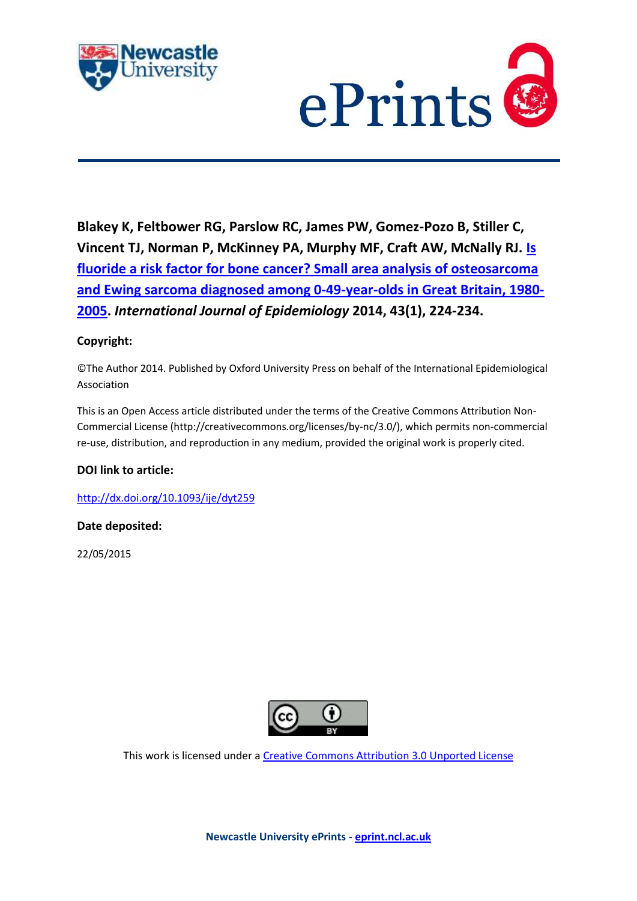



**Blakey K, Feltbower RG, Parslow RC, James PW, Gomez-Pozo B, Stiller C, Vincent TJ, Norman P, McKinney PA, Murphy MF, Craft AW, McNally RJ. [Is](javascript:ViewPublication(196922);)  [fluoride a risk factor for bone cancer? Small area analysis of osteosarcoma](javascript:ViewPublication(196922);)  [and Ewing sarcoma diagnosed among 0-49-year-olds in Great Britain, 1980-](javascript:ViewPublication(196922);) [2005.](javascript:ViewPublication(196922);)** *International Journal of Epidemiology* **2014, 43(1), 224-234.**

# **Copyright:**

©The Author 2014. Published by Oxford University Press on behalf of the International Epidemiological Association

This is an Open Access article distributed under the terms of the Creative Commons Attribution Non-Commercial License (http://creativecommons.org/licenses/by-nc/3.0/), which permits non-commercial re-use, distribution, and reproduction in any medium, provided the original work is properly cited.

# **DOI link to article:**

<http://dx.doi.org/10.1093/ije/dyt259>

# **Date deposited:**

22/05/2015



This work is licensed under a **Creative Commons Attribution 3.0 Unported License** 

**Newcastle University ePrints - [eprint.ncl.ac.uk](http://eprint.ncl.ac.uk/)**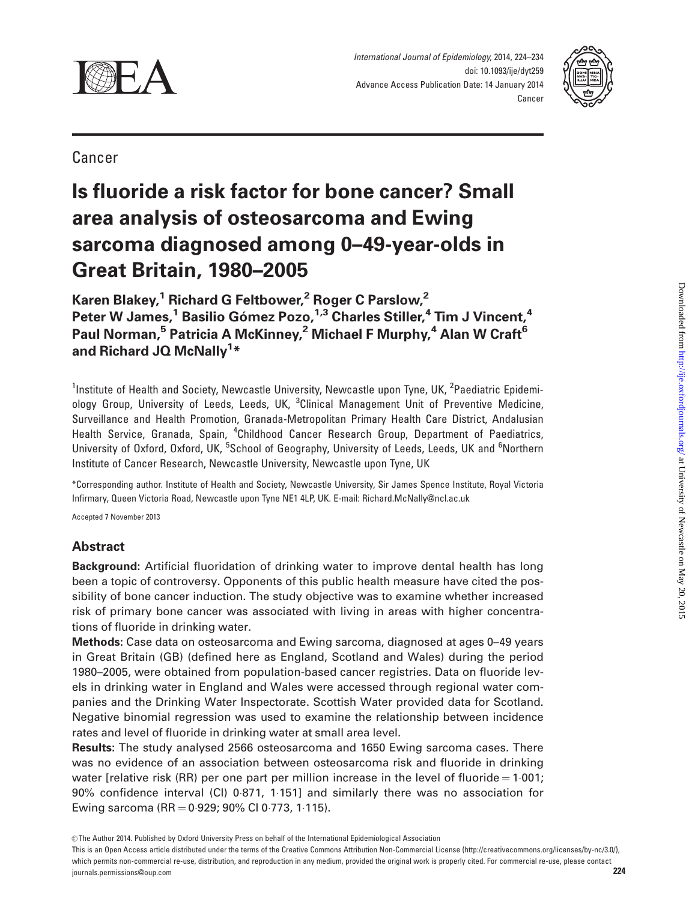

International Journal of Epidemiology, 2014, 224–234 doi: 10.1093/ije/dyt259 Advance Access Publication Date: 14 January 2014 Cancer



Cancer

# Is fluoride a risk factor for bone cancer? Small area analysis of osteosarcoma and Ewing sarcoma diagnosed among 0–49-year-olds in Great Britain, 1980–2005

Karen Blakey,<sup>1</sup> Richard G Feltbower,<sup>2</sup> Roger C Parslow,<sup>2</sup> Peter W James,<sup>1</sup> Basilio Gómez Pozo,<sup>1,3</sup> Charles Stiller,<sup>4</sup> Tim J Vincent,<sup>4</sup> Paul Norman,<sup>5</sup> Patricia A McKinney,<sup>2</sup> Michael F Murphy,<sup>4</sup> Alan W Craft<sup>6</sup> and Richard J $\Omega$  McNally<sup>1</sup>\*

<sup>1</sup>Institute of Health and Society, Newcastle University, Newcastle upon Tyne, UK, <sup>2</sup>Paediatric Epidemiology Group, University of Leeds, Leeds, UK, <sup>3</sup>Clinical Management Unit of Preventive Medicine, Surveillance and Health Promotion, Granada-Metropolitan Primary Health Care District, Andalusian Health Service, Granada, Spain, <sup>4</sup>Childhood Cancer Research Group, Department of Paediatrics, University of Oxford, Oxford, UK, <sup>5</sup>School of Geography, University of Leeds, Leeds, UK and <sup>6</sup>Northern Institute of Cancer Research, Newcastle University, Newcastle upon Tyne, UK

\*Corresponding author. Institute of Health and Society, Newcastle University, Sir James Spence Institute, Royal Victoria Infirmary, Queen Victoria Road, Newcastle upon Tyne NE1 4LP, UK. E-mail: Richard.McNally@ncl.ac.uk

Accepted 7 November 2013

# Abstract

Background: Artificial fluoridation of drinking water to improve dental health has long been a topic of controversy. Opponents of this public health measure have cited the possibility of bone cancer induction. The study objective was to examine whether increased risk of primary bone cancer was associated with living in areas with higher concentrations of fluoride in drinking water.

Methods: Case data on osteosarcoma and Ewing sarcoma, diagnosed at ages 0–49 years in Great Britain (GB) (defined here as England, Scotland and Wales) during the period 1980–2005, were obtained from population-based cancer registries. Data on fluoride levels in drinking water in England and Wales were accessed through regional water companies and the Drinking Water Inspectorate. Scottish Water provided data for Scotland. Negative binomial regression was used to examine the relationship between incidence rates and level of fluoride in drinking water at small area level.

Results: The study analysed 2566 osteosarcoma and 1650 Ewing sarcoma cases. There was no evidence of an association between osteosarcoma risk and fluoride in drinking water [relative risk (RR) per one part per million increase in the level of fluoride $=$  1 $\cdot$ 001; 90% confidence interval (CI) 0-871, 1-151] and similarly there was no association for Ewing sarcoma (RR = 0·929; 90% Cl 0·773, 1·115).

V<sup>C</sup> The Author 2014. Published by Oxford University Press on behalf of the International Epidemiological Association

This is an Open Access article distributed under the terms of the Creative Commons Attribution Non-Commercial License (http://creativecommons.org/licenses/by-nc/3.0/), which permits non-commercial re-use, distribution, and reproduction in any medium, provided the original work is properly cited. For commercial re-use, please contact journals.permissions@oup.com 224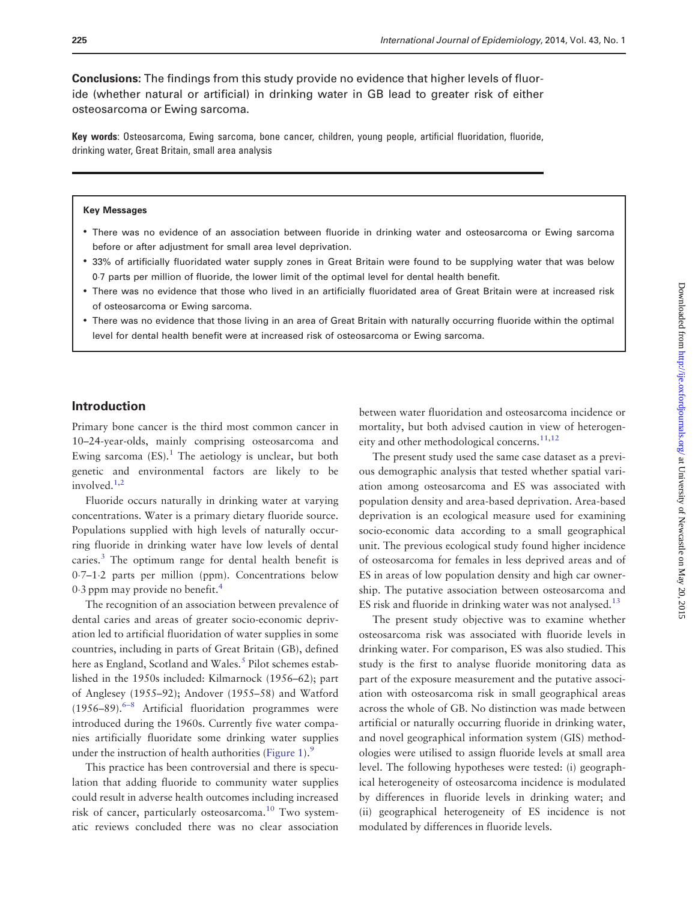Conclusions: The findings from this study provide no evidence that higher levels of fluoride (whether natural or artificial) in drinking water in GB lead to greater risk of either osteosarcoma or Ewing sarcoma.

Key words: Osteosarcoma, Ewing sarcoma, bone cancer, children, young people, artificial fluoridation, fluoride, drinking water, Great Britain, small area analysis

#### Key Messages

- There was no evidence of an association between fluoride in drinking water and osteosarcoma or Ewing sarcoma before or after adjustment for small area level deprivation.
- 33% of artificially fluoridated water supply zones in Great Britain were found to be supplying water that was below 0-7 parts per million of fluoride, the lower limit of the optimal level for dental health benefit.
- There was no evidence that those who lived in an artificially fluoridated area of Great Britain were at increased risk of osteosarcoma or Ewing sarcoma.
- There was no evidence that those living in an area of Great Britain with naturally occurring fluoride within the optimal level for dental health benefit were at increased risk of osteosarcoma or Ewing sarcoma.

#### Introduction

Primary bone cancer is the third most common cancer in 10–24-year-olds, mainly comprising osteosarcoma and Ewing sarcoma  $(ES)$ .<sup>1</sup> The aetiology is unclear, but both genetic and environmental factors are likely to be involved.<sup>[1,2](#page-10-0)</sup>

Fluoride occurs naturally in drinking water at varying concentrations. Water is a primary dietary fluoride source. Populations supplied with high levels of naturally occurring fluoride in drinking water have low levels of dental caries.<sup>[3](#page-10-0)</sup> The optimum range for dental health benefit is 0-7–1-2 parts per million (ppm). Concentrations below 0.3 ppm may provide no benefit.<sup>[4](#page-10-0)</sup>

The recognition of an association between prevalence of dental caries and areas of greater socio-economic deprivation led to artificial fluoridation of water supplies in some countries, including in parts of Great Britain (GB), defined here as England, Scotland and Wales.<sup>[5](#page-10-0)</sup> Pilot schemes established in the 1950s included: Kilmarnock (1956–62); part of Anglesey (1955–92); Andover (1955–58) and Watford  $(1956-89)$ <sup>6–8</sup> Artificial fluoridation programmes were introduced during the 1960s. Currently five water companies artificially fluoridate some drinking water supplies under the instruction of health authorities ([Figure 1](#page-3-0)).<sup>9</sup>

This practice has been controversial and there is speculation that adding fluoride to community water supplies could result in adverse health outcomes including increased risk of cancer, particularly osteosarcoma.<sup>10</sup> Two systematic reviews concluded there was no clear association

between water fluoridation and osteosarcoma incidence or mortality, but both advised caution in view of heterogen-eity and other methodological concerns.<sup>[11,12](#page-10-0)</sup>

The present study used the same case dataset as a previous demographic analysis that tested whether spatial variation among osteosarcoma and ES was associated with population density and area-based deprivation. Area-based deprivation is an ecological measure used for examining socio-economic data according to a small geographical unit. The previous ecological study found higher incidence of osteosarcoma for females in less deprived areas and of ES in areas of low population density and high car ownership. The putative association between osteosarcoma and ES risk and fluoride in drinking water was not analysed.<sup>[13](#page-10-0)</sup>

The present study objective was to examine whether osteosarcoma risk was associated with fluoride levels in drinking water. For comparison, ES was also studied. This study is the first to analyse fluoride monitoring data as part of the exposure measurement and the putative association with osteosarcoma risk in small geographical areas across the whole of GB. No distinction was made between artificial or naturally occurring fluoride in drinking water, and novel geographical information system (GIS) methodologies were utilised to assign fluoride levels at small area level. The following hypotheses were tested: (i) geographical heterogeneity of osteosarcoma incidence is modulated by differences in fluoride levels in drinking water; and (ii) geographical heterogeneity of ES incidence is not modulated by differences in fluoride levels.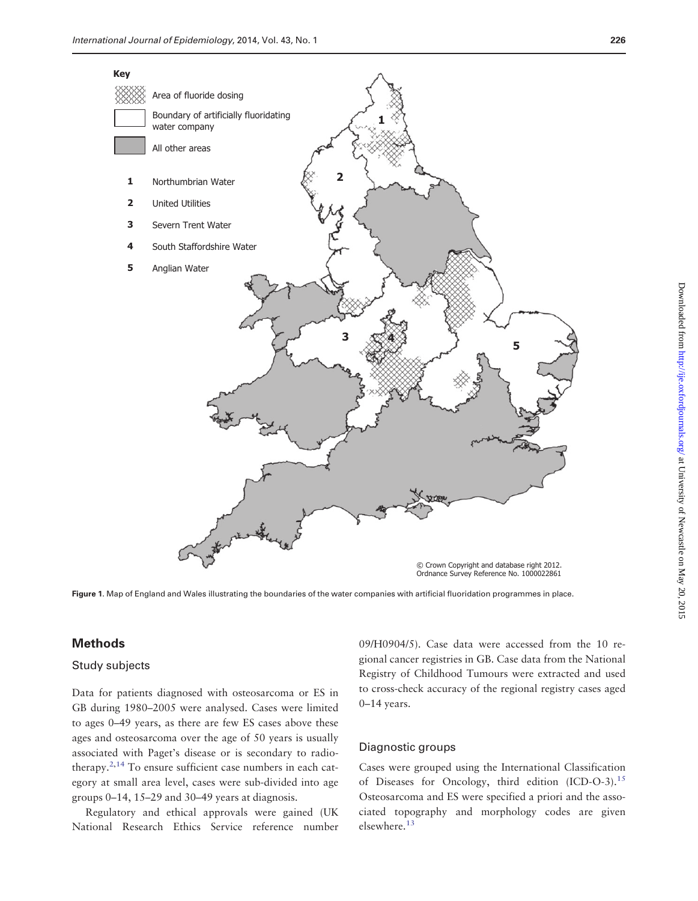<span id="page-3-0"></span>

Ordnance Survey Reference No. 1000022861

Figure 1. Map of England and Wales illustrating the boundaries of the water companies with artificial fluoridation programmes in place.

## Methods

## Study subjects

Data for patients diagnosed with osteosarcoma or ES in GB during 1980–2005 were analysed. Cases were limited to ages 0–49 years, as there are few ES cases above these ages and osteosarcoma over the age of 50 years is usually associated with Paget's disease or is secondary to radio-therapy.<sup>[2,14](#page-10-0)</sup> To ensure sufficient case numbers in each category at small area level, cases were sub-divided into age groups 0–14, 15–29 and 30–49 years at diagnosis.

Regulatory and ethical approvals were gained (UK National Research Ethics Service reference number 09/H0904/5). Case data were accessed from the 10 regional cancer registries in GB. Case data from the National Registry of Childhood Tumours were extracted and used to cross-check accuracy of the regional registry cases aged 0–14 years.

#### Diagnostic groups

Cases were grouped using the International Classification of Diseases for Oncology, third edition (ICD-O-3).<sup>[15](#page-10-0)</sup> Osteosarcoma and ES were specified a priori and the associated topography and morphology codes are given elsewhere[.13](#page-10-0)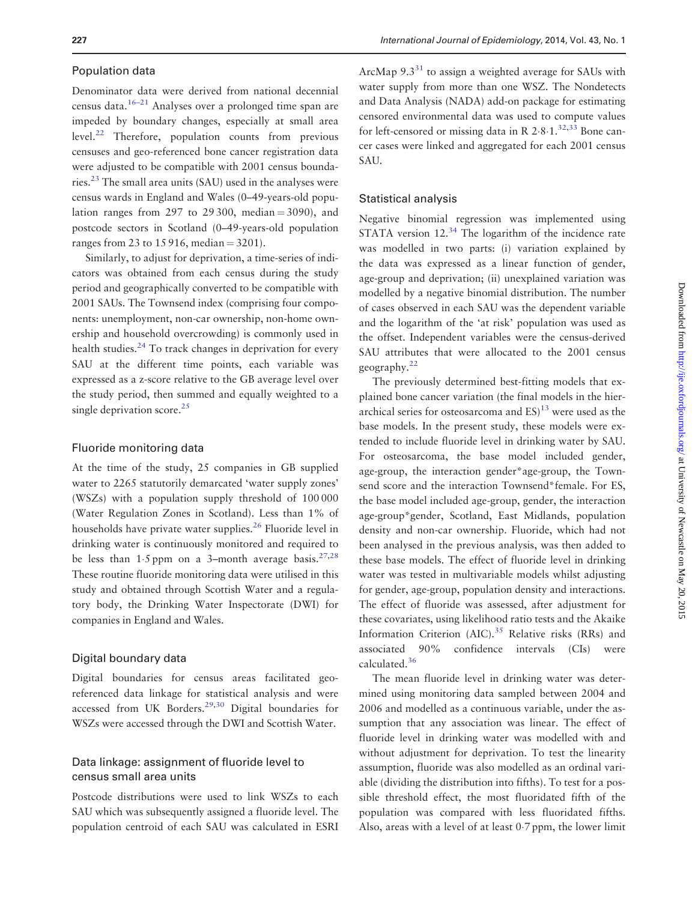#### Population data

Denominator data were derived from national decennial census data.<sup>16–21</sup> Analyses over a prolonged time span are impeded by boundary changes, especially at small area level.[22](#page-10-0) Therefore, population counts from previous censuses and geo-referenced bone cancer registration data were adjusted to be compatible with 2001 census boundaries.[23](#page-10-0) The small area units (SAU) used in the analyses were census wards in England and Wales (0–49-years-old population ranges from 297 to 29300, median  $=$  3090), and postcode sectors in Scotland (0–49-years-old population ranges from 23 to 15916, median  $=$  3201).

Similarly, to adjust for deprivation, a time-series of indicators was obtained from each census during the study period and geographically converted to be compatible with 2001 SAUs. The Townsend index (comprising four components: unemployment, non-car ownership, non-home ownership and household overcrowding) is commonly used in health studies.<sup>24</sup> To track changes in deprivation for every SAU at the different time points, each variable was expressed as a z-score relative to the GB average level over the study period, then summed and equally weighted to a single deprivation score.<sup>25</sup>

#### Fluoride monitoring data

At the time of the study, 25 companies in GB supplied water to 2265 statutorily demarcated 'water supply zones' (WSZs) with a population supply threshold of 100 000 (Water Regulation Zones in Scotland). Less than 1% of households have private water supplies.<sup>26</sup> Fluoride level in drinking water is continuously monitored and required to be less than  $1.5$  ppm on a 3-month average basis.<sup>[27,28](#page-10-0)</sup> These routine fluoride monitoring data were utilised in this study and obtained through Scottish Water and a regulatory body, the Drinking Water Inspectorate (DWI) for companies in England and Wales.

#### Digital boundary data

Digital boundaries for census areas facilitated georeferenced data linkage for statistical analysis and were accessed from UK Borders.<sup>[29,30](#page-10-0)</sup> Digital boundaries for WSZs were accessed through the DWI and Scottish Water.

## Data linkage: assignment of fluoride level to census small area units

Postcode distributions were used to link WSZs to each SAU which was subsequently assigned a fluoride level. The population centroid of each SAU was calculated in ESRI

ArcMap  $9.3^{31}$  $9.3^{31}$  $9.3^{31}$  to assign a weighted average for SAUs with water supply from more than one WSZ. The Nondetects and Data Analysis (NADA) add-on package for estimating censored environmental data was used to compute values for left-censored or missing data in R  $2.8 \cdot 1.^{32,33}$  $2.8 \cdot 1.^{32,33}$  $2.8 \cdot 1.^{32,33}$  $2.8 \cdot 1.^{32,33}$  Bone cancer cases were linked and aggregated for each 2001 census SAU.

#### Statistical analysis

Negative binomial regression was implemented using STATA version  $12<sup>34</sup>$  $12<sup>34</sup>$  $12<sup>34</sup>$  The logarithm of the incidence rate was modelled in two parts: (i) variation explained by the data was expressed as a linear function of gender, age-group and deprivation; (ii) unexplained variation was modelled by a negative binomial distribution. The number of cases observed in each SAU was the dependent variable and the logarithm of the 'at risk' population was used as the offset. Independent variables were the census-derived SAU attributes that were allocated to the 2001 census geography[.22](#page-10-0)

The previously determined best-fitting models that explained bone cancer variation (the final models in the hierarchical series for osteosarcoma and  $ES$ <sup>[13](#page-10-0)</sup> were used as the base models. In the present study, these models were extended to include fluoride level in drinking water by SAU. For osteosarcoma, the base model included gender, age-group, the interaction gender\*age-group, the Townsend score and the interaction Townsend\*female. For ES, the base model included age-group, gender, the interaction age-group\*gender, Scotland, East Midlands, population density and non-car ownership. Fluoride, which had not been analysed in the previous analysis, was then added to these base models. The effect of fluoride level in drinking water was tested in multivariable models whilst adjusting for gender, age-group, population density and interactions. The effect of fluoride was assessed, after adjustment for these covariates, using likelihood ratio tests and the Akaike Information Criterion (AIC).<sup>35</sup> Relative risks (RRs) and associated 90% confidence intervals (CIs) were calculated.[36](#page-11-0)

The mean fluoride level in drinking water was determined using monitoring data sampled between 2004 and 2006 and modelled as a continuous variable, under the assumption that any association was linear. The effect of fluoride level in drinking water was modelled with and without adjustment for deprivation. To test the linearity assumption, fluoride was also modelled as an ordinal variable (dividing the distribution into fifths). To test for a possible threshold effect, the most fluoridated fifth of the population was compared with less fluoridated fifths. Also, areas with a level of at least 0-7 ppm, the lower limit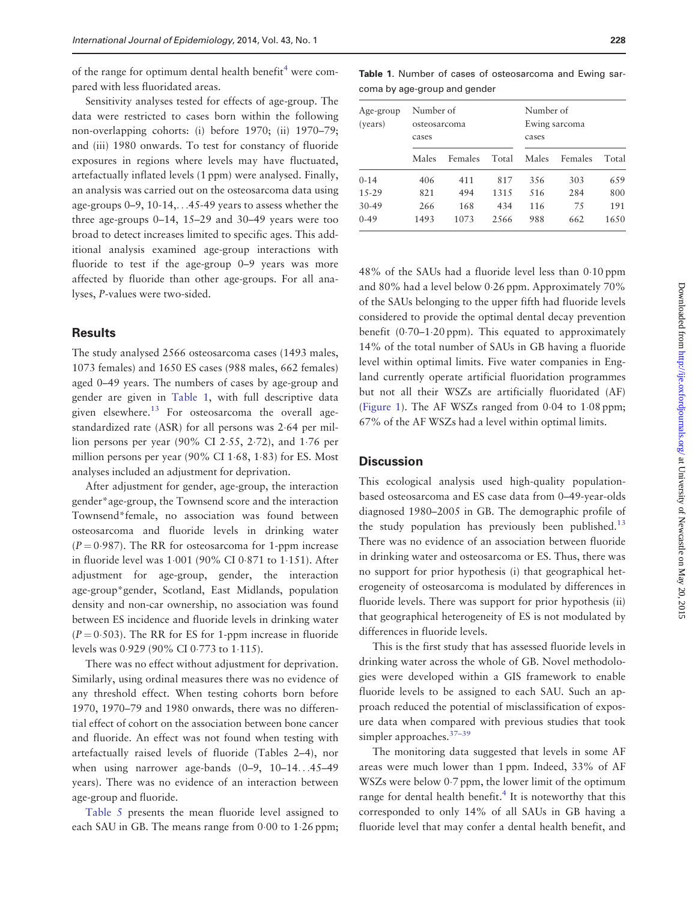of the range for optimum dental health benefit<sup>[4](#page-10-0)</sup> were compared with less fluoridated areas.

Sensitivity analyses tested for effects of age-group. The data were restricted to cases born within the following non-overlapping cohorts: (i) before 1970; (ii) 1970–79; and (iii) 1980 onwards. To test for constancy of fluoride exposures in regions where levels may have fluctuated, artefactually inflated levels (1 ppm) were analysed. Finally, an analysis was carried out on the osteosarcoma data using age-groups 0–9, 10-14,...45-49 years to assess whether the three age-groups 0–14, 15–29 and 30–49 years were too broad to detect increases limited to specific ages. This additional analysis examined age-group interactions with fluoride to test if the age-group 0–9 years was more affected by fluoride than other age-groups. For all analyses, P-values were two-sided.

### **Results**

The study analysed 2566 osteosarcoma cases (1493 males, 1073 females) and 1650 ES cases (988 males, 662 females) aged 0–49 years. The numbers of cases by age-group and gender are given in Table 1, with full descriptive data given elsewhere. $^{13}$  $^{13}$  $^{13}$  For osteosarcoma the overall agestandardized rate (ASR) for all persons was 2-64 per million persons per year (90% CI 2-55, 2-72), and 1-76 per million persons per year (90% CI 1-68, 1-83) for ES. Most analyses included an adjustment for deprivation.

After adjustment for gender, age-group, the interaction gender\*age-group, the Townsend score and the interaction Townsend\*female, no association was found between osteosarcoma and fluoride levels in drinking water  $(P = 0.987)$ . The RR for osteosarcoma for 1-ppm increase in fluoride level was 1-001 (90% CI 0-871 to 1-151). After adjustment for age-group, gender, the interaction age-group\*gender, Scotland, East Midlands, population density and non-car ownership, no association was found between ES incidence and fluoride levels in drinking water  $(P = 0.503)$ . The RR for ES for 1-ppm increase in fluoride levels was 0-929 (90% CI 0-773 to 1-115).

There was no effect without adjustment for deprivation. Similarly, using ordinal measures there was no evidence of any threshold effect. When testing cohorts born before 1970, 1970–79 and 1980 onwards, there was no differential effect of cohort on the association between bone cancer and fluoride. An effect was not found when testing with artefactually raised levels of fluoride (Tables 2–4), nor when using narrower age-bands (0–9, 10–14...45–49 years). There was no evidence of an interaction between age-group and fluoride.

Table 5 presents the mean fluoride level assigned to each SAU in GB. The means range from 0-00 to 1-26 ppm;

Table 1. Number of cases of osteosarcoma and Ewing sarcoma by age-group and gender

| Age-group<br>(years) | Number of<br>osteosarcoma<br>cases |         |       | Number of<br>Ewing sarcoma<br>cases |         |       |  |
|----------------------|------------------------------------|---------|-------|-------------------------------------|---------|-------|--|
|                      | Males                              | Females | Total | Males                               | Females | Total |  |
| $0 - 14$             | 406                                | 411     | 817   | 356                                 | 303     | 659   |  |
| $1.5 - 29$           | 821                                | 494     | 1315  | 516                                 | 284     | 800   |  |
| $30 - 49$            | 266                                | 168     | 434   | 116                                 | 75      | 191   |  |
| $0-49$               | 1493                               | 1073    | 2566  | 988                                 | 662     | 1650  |  |

48% of the SAUs had a fluoride level less than 0-10 ppm and 80% had a level below 0-26 ppm. Approximately 70% of the SAUs belonging to the upper fifth had fluoride levels considered to provide the optimal dental decay prevention benefit (0-70–1-20 ppm). This equated to approximately 14% of the total number of SAUs in GB having a fluoride level within optimal limits. Five water companies in England currently operate artificial fluoridation programmes but not all their WSZs are artificially fluoridated (AF) [\(Figure 1\)](#page-3-0). The AF WSZs ranged from 0-04 to 1-08 ppm; 67% of the AF WSZs had a level within optimal limits.

## **Discussion**

This ecological analysis used high-quality populationbased osteosarcoma and ES case data from 0–49-year-olds diagnosed 1980–2005 in GB. The demographic profile of the study population has previously been published.<sup>13</sup> There was no evidence of an association between fluoride in drinking water and osteosarcoma or ES. Thus, there was no support for prior hypothesis (i) that geographical heterogeneity of osteosarcoma is modulated by differences in fluoride levels. There was support for prior hypothesis (ii) that geographical heterogeneity of ES is not modulated by differences in fluoride levels.

This is the first study that has assessed fluoride levels in drinking water across the whole of GB. Novel methodologies were developed within a GIS framework to enable fluoride levels to be assigned to each SAU. Such an approach reduced the potential of misclassification of exposure data when compared with previous studies that took simpler approaches.<sup>37-39</sup>

The monitoring data suggested that levels in some AF areas were much lower than 1 ppm. Indeed, 33% of AF WSZs were below 0-7 ppm, the lower limit of the optimum range for dental health benefit.<sup>[4](#page-10-0)</sup> It is noteworthy that this corresponded to only 14% of all SAUs in GB having a fluoride level that may confer a dental health benefit, and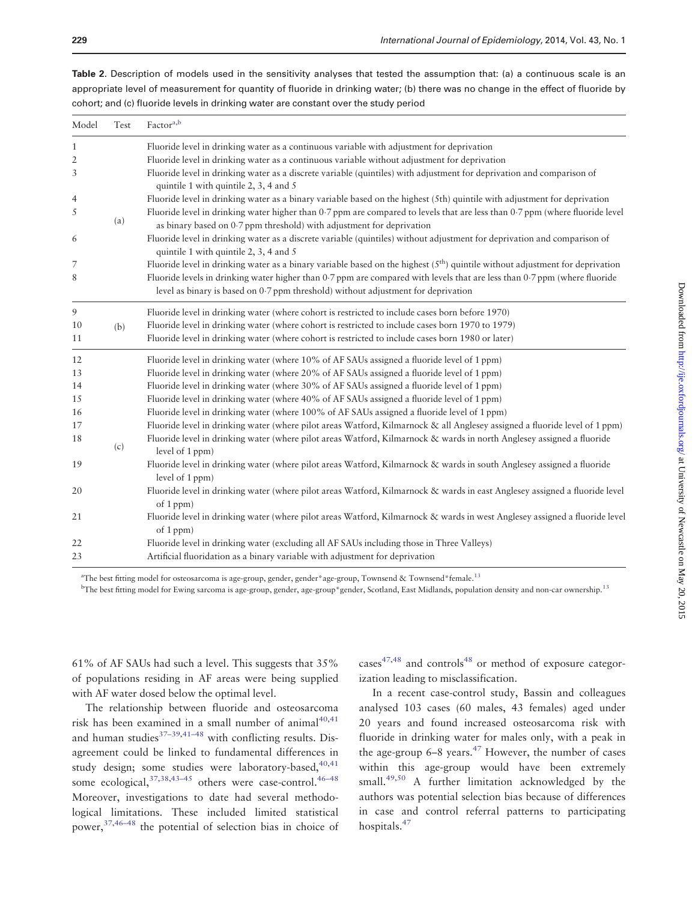| Model          | Test | Factor <sup>a,b</sup>                                                                                                                                                                                          |
|----------------|------|----------------------------------------------------------------------------------------------------------------------------------------------------------------------------------------------------------------|
| 1              |      | Fluoride level in drinking water as a continuous variable with adjustment for deprivation                                                                                                                      |
| $\mathfrak{2}$ |      | Fluoride level in drinking water as a continuous variable without adjustment for deprivation                                                                                                                   |
| 3              |      | Fluoride level in drinking water as a discrete variable (quintiles) with adjustment for deprivation and comparison of<br>quintile 1 with quintile 2, 3, 4 and 5                                                |
| 4              |      | Fluoride level in drinking water as a binary variable based on the highest (5th) quintile with adjustment for deprivation                                                                                      |
| 5              | (a)  | Fluoride level in drinking water higher than 0.7 ppm are compared to levels that are less than 0.7 ppm (where fluoride level<br>as binary based on 0.7 ppm threshold) with adjustment for deprivation          |
| 6              |      | Fluoride level in drinking water as a discrete variable (quintiles) without adjustment for deprivation and comparison of<br>quintile 1 with quintile 2, 3, 4 and 5                                             |
| 7              |      | Fluoride level in drinking water as a binary variable based on the highest $(5th)$ quintile without adjustment for deprivation                                                                                 |
| 8              |      | Fluoride levels in drinking water higher than 0.7 ppm are compared with levels that are less than 0.7 ppm (where fluoride<br>level as binary is based on 0.7 ppm threshold) without adjustment for deprivation |
| 9              |      | Fluoride level in drinking water (where cohort is restricted to include cases born before 1970)                                                                                                                |
| 10             | (b)  | Fluoride level in drinking water (where cohort is restricted to include cases born 1970 to 1979)                                                                                                               |
| 11             |      | Fluoride level in drinking water (where cohort is restricted to include cases born 1980 or later)                                                                                                              |
| 12             |      | Fluoride level in drinking water (where 10% of AF SAUs assigned a fluoride level of 1 ppm)                                                                                                                     |
| 13             |      | Fluoride level in drinking water (where 20% of AF SAUs assigned a fluoride level of 1 ppm)                                                                                                                     |
| 14             |      | Fluoride level in drinking water (where 30% of AF SAUs assigned a fluoride level of 1 ppm)                                                                                                                     |
| 15             |      | Fluoride level in drinking water (where 40% of AF SAUs assigned a fluoride level of 1 ppm)                                                                                                                     |
| 16             |      | Fluoride level in drinking water (where 100% of AF SAUs assigned a fluoride level of 1 ppm)                                                                                                                    |
| 17             |      | Fluoride level in drinking water (where pilot areas Watford, Kilmarnock & all Anglesey assigned a fluoride level of 1 ppm)                                                                                     |
| 18             | (c)  | Fluoride level in drinking water (where pilot areas Watford, Kilmarnock & wards in north Anglesey assigned a fluoride<br>level of 1 ppm)                                                                       |
| 19             |      | Fluoride level in drinking water (where pilot areas Watford, Kilmarnock & wards in south Anglesey assigned a fluoride<br>level of 1 ppm)                                                                       |
| 20             |      | Fluoride level in drinking water (where pilot areas Watford, Kilmarnock & wards in east Anglesey assigned a fluoride level<br>of $1$ ppm $)$                                                                   |
| 21             |      | Fluoride level in drinking water (where pilot areas Watford, Kilmarnock & wards in west Anglesey assigned a fluoride level<br>of 1 ppm)                                                                        |
| 22             |      | Fluoride level in drinking water (excluding all AF SAUs including those in Three Valleys)                                                                                                                      |
| 23             |      | Artificial fluoridation as a binary variable with adjustment for deprivation                                                                                                                                   |

Table 2. Description of models used in the sensitivity analyses that tested the assumption that: (a) a continuous scale is an appropriate level of measurement for quantity of fluoride in drinking water; (b) there was no change in the effect of fluoride by cohort; and (c) fluoride levels in drinking water are constant over the study period

<sup>a</sup>The best fitting model for osteosarcoma is age-group, gender, gender\*age-group, Townsend & Townsend\*female.<sup>[13](#page-10-0)</sup>

<sup>b</sup>The best fitting model for Ewing sarcoma is age-group, gender, age-group\*gender, Scotland, East Midlands, population density and non-car ownership.<sup>[13](#page-10-0)</sup>

61% of AF SAUs had such a level. This suggests that 35% of populations residing in AF areas were being supplied with AF water dosed below the optimal level.

The relationship between fluoride and osteosarcoma risk has been examined in a small number of animal $40,41$ and human studies $37-39,41-48$  with conflicting results. Disagreement could be linked to fundamental differences in study design; some studies were laboratory-based, [40,41](#page-11-0) some ecological, $37,38,43-45$  $37,38,43-45$  others were case-control.<sup>46-48</sup> Moreover, investigations to date had several methodological limitations. These included limited statistical power,[37,](#page-11-0)46–48 the potential of selection bias in choice of  $cases^{47,48}$  and controls<sup>48</sup> or method of exposure categorization leading to misclassification.

In a recent case-control study, Bassin and colleagues analysed 103 cases (60 males, 43 females) aged under 20 years and found increased osteosarcoma risk with fluoride in drinking water for males only, with a peak in the age-group  $6-8$  years.<sup>[47](#page-11-0)</sup> However, the number of cases within this age-group would have been extremely small.<sup>[49,50](#page-11-0)</sup> A further limitation acknowledged by the authors was potential selection bias because of differences in case and control referral patterns to participating hospitals.<sup>47</sup>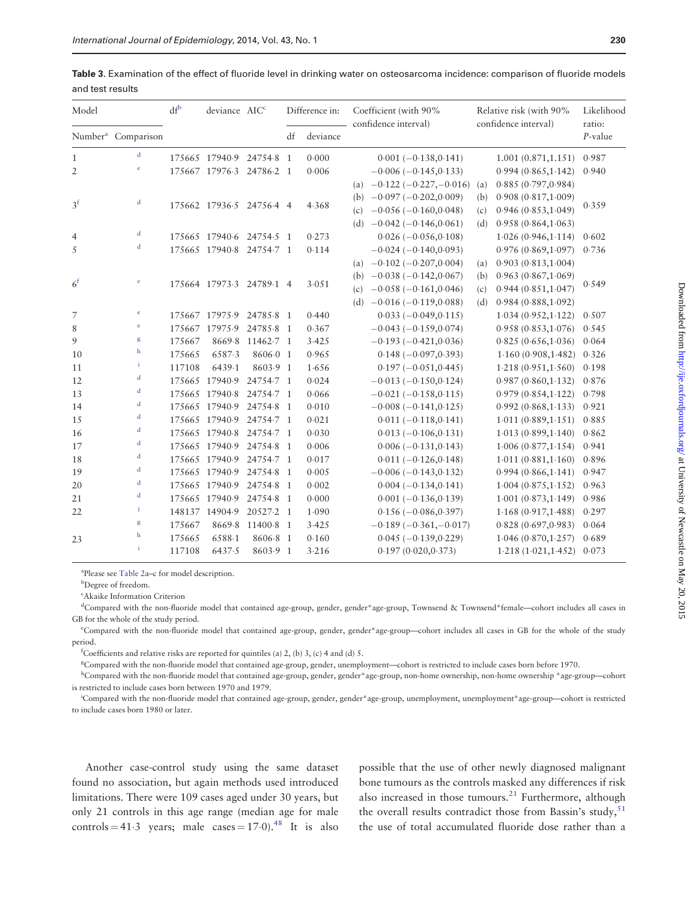| Model          |                                   | dfb    | deviance AIC <sup>c</sup> |                  | Difference in: |          | Coefficient (with 90%<br>confidence interval) |     | Relative risk (with 90%<br>confidence interval) | Likelihood<br>ratio: |
|----------------|-----------------------------------|--------|---------------------------|------------------|----------------|----------|-----------------------------------------------|-----|-------------------------------------------------|----------------------|
|                | Number <sup>a</sup> Comparison    |        |                           |                  | df             | deviance |                                               |     | $P$ -value                                      |                      |
| 1              | d                                 |        | 175665 17940.9            | 24754.8          | $\overline{1}$ | 0.000    | $0.001 (-0.138, 0.141)$                       |     | 1.001(0.871, 1.151)                             | 0.987                |
| 2              | $\rm e$                           |        | 175667 17976-3 24786-2 1  |                  |                | 0.006    | $-0.006$ ( $-0.145, 0.133$ )                  |     | 0.994(0.865,1.142)                              | 0.940                |
|                |                                   |        |                           |                  |                |          | (a) $-0.122 (-0.227,-0.016)$                  | (a) | 0.885(0.797, 0.984)                             |                      |
|                |                                   |        |                           |                  |                |          | $-0.097(-0.202,0.009)$<br>(b)                 | (b) | 0.908(0.817,1.009)                              |                      |
| 3 <sup>f</sup> | d                                 |        | 175662 17936.5 24756.4 4  |                  |                | 4.368    | $-0.056(-0.160, 0.048)$<br>(c)                | (c) | 0.946(0.853,1.049)                              | 0.359                |
|                |                                   |        |                           |                  |                |          | (d) $-0.042$ ( $-0.146, 0.061$ )              | (d) | 0.958(0.864, 1.063)                             |                      |
| 4              | d                                 |        | 175665 17940.6            | 24754.5 1        |                | 0.273    | $0.026 (-0.056, 0.108)$                       |     | 1.026(0.946, 1.114)                             | 0.602                |
| 5              | ${\rm d}$                         |        | 175665 17940-8 24754-7 1  |                  |                | 0.114    | $-0.024(-0.140, 0.093)$                       |     | 0.976(0.869,1.097)                              | 0.736                |
|                |                                   |        |                           |                  |                |          | $-0.102 (-0.207, 0.004)$<br>(a)               | (a) | 0.903(0.813,1.004)                              |                      |
|                |                                   |        |                           |                  |                |          | (b) $-0.038$ ( $-0.142,0.067$ )               | (b) | 0.963(0.867,1.069)                              |                      |
| 6 <sup>f</sup> | $\mathbf{e}% _{t}\left( t\right)$ |        | 175664 17973.3 24789.1 4  |                  |                | 3.051    | $-0.058(-0.161,0.046)$<br>(c)                 | (c) | 0.944(0.851,1.047)                              | 0.549                |
|                |                                   |        |                           |                  |                |          | (d) $-0.016$ ( $-0.119,0.088$ )               | (d) | 0.984(0.888,1.092)                              |                      |
| 7              | $\mathbf{e}% _{t}\left( t\right)$ |        | 175667 17975.9 24785.8 1  |                  |                | 0.440    | $0.033 (-0.049, 0.115)$                       |     | 1.034(0.952,1.122)                              | 0.507                |
| 8              | $\mathbf e$                       |        | 175667 17975.9            | 24785.8 1        |                | 0.367    | $-0.043 (-0.159, 0.074)$                      |     | 0.958(0.853,1.076)                              | 0.545                |
| 9              | g                                 | 175667 |                           | 8669.8 11462.7 1 |                | 3.425    | $-0.193(-0.421,0.036)$                        |     | 0.825(0.656,1.036)                              | 0.064                |
| 10             | h                                 | 175665 | 6587.3                    | 8606.0 1         |                | 0.965    | $0.148 (-0.097, 0.393)$                       |     | 1.160(0.908, 1.482)                             | 0.326                |
| 11             | $\mathbf{i}$                      | 117108 | 6439.1                    | 8603.9 1         |                | 1.656    | $0.197 (-0.051, 0.445)$                       |     | 1.218(0.951, 1.560)                             | 0.198                |
| 12             | d                                 |        | 175665 17940.9            | 24754.7 1        |                | 0.024    | $-0.013(-0.150, 0.124)$                       |     | 0.987(0.860,1.132)                              | 0.876                |
| 13             | d                                 |        | 175665 17940.8            | 24754.7 1        |                | 0.066    | $-0.021(-0.158, 0.115)$                       |     | 0.979(0.854,1.122)                              | 0.798                |
| 14             | d                                 |        | 175665 17940.9            | 24754.8 1        |                | 0.010    | $-0.008(-0.141, 0.125)$                       |     | 0.992(0.868,1.133)                              | 0.921                |
| 15             | d                                 |        | 175665 17940.9            | 24754.7 1        |                | 0.021    | $0.011 (-0.118, 0.141)$                       |     | 1.011(0.889, 1.151)                             | 0.885                |
| 16             | d                                 |        | 175665 17940.8            | 24754.7 1        |                | 0.030    | $0.013 (-0.106, 0.131)$                       |     | 1.013(0.899, 1.140)                             | 0.862                |
| 17             | d                                 |        | 175665 17940.9            | 24754.8 1        |                | 0.006    | $0.006 (-0.131, 0.143)$                       |     | 1.006(0.877,1.154)                              | 0.941                |
| 18             | d                                 |        | 175665 17940.9            | 24754.7 1        |                | 0.017    | $0.011 (-0.126, 0.148)$                       |     | 1.011(0.881, 1.160)                             | 0.896                |
| 19             | d                                 |        | 175665 17940.9            | 24754.8          | -1             | 0.005    | $-0.006$ ( $-0.143, 0.132$ )                  |     | 0.994(0.866, 1.141)                             | 0.947                |
| 20             | d                                 |        | 175665 17940.9            | 24754.8 1        |                | 0.002    | $0.004 (-0.134, 0.141)$                       |     | 1.004(0.875,1.152)                              | 0.963                |
| 21             | d                                 |        | 175665 17940.9            | 24754.8 1        |                | 0.000    | $0.001 (-0.136, 0.139)$                       |     | 1.001(0.873,1.149)                              | 0.986                |
| 22             | Ĵ                                 |        | 148137 14904.9            | 20527-2 1        |                | 1.090    | $0.156 (-0.086, 0.397)$                       |     | 1.168(0.917, 1.488)                             | 0.297                |
|                | $\mathbf g$                       | 175667 | 8669.8                    | 11400.8 1        |                | 3.425    | $-0.189(-0.361,-0.017)$                       |     | 0.828(0.697,0.983)                              | 0.064                |
| 23             | h                                 | 175665 | 6588.1                    | 8606.8 1         |                | 0.160    | $0.045 (-0.139, 0.229)$                       |     | 1.046(0.870, 1.257)                             | 0.689                |
|                | $\rm i$                           | 117108 | 6437.5                    | 8603.9 1         |                | 3.216    | 0.197(0.020, 0.373)                           |     | 1.218(1.021, 1.452)                             | 0.073                |

Table 3. Examination of the effect of fluoride level in drinking water on osteosarcoma incidence: comparison of fluoride models and test results

a Please see Table 2a–c for model description.

<sup>b</sup>Degree of freedom.

c Akaike Information Criterion

d Compared with the non-fluoride model that contained age-group, gender, gender\*age-group, Townsend & Townsend\*female—cohort includes all cases in GB for the whole of the study period.

e Compared with the non-fluoride model that contained age-group, gender, gender\*age-group—cohort includes all cases in GB for the whole of the study period.

<sup>f</sup>Coefficients and relative risks are reported for quintiles (a) 2, (b) 3, (c) 4 and (d) 5.

g Compared with the non-fluoride model that contained age-group, gender, unemployment—cohort is restricted to include cases born before 1970.

hCompared with the non-fluoride model that contained age-group, gender, gender\*age-group, non-home ownership, non-home ownership \*age-group—cohort is restricted to include cases born between 1970 and 1979.

i Compared with the non-fluoride model that contained age-group, gender, gender\*age-group, unemployment, unemployment\*age-group—cohort is restricted to include cases born 1980 or later.

Another case-control study using the same dataset found no association, but again methods used introduced limitations. There were 109 cases aged under 30 years, but only 21 controls in this age range (median age for male controls = 41.3 years; male cases =  $17.0$ ).<sup>48</sup> It is also

possible that the use of other newly diagnosed malignant bone tumours as the controls masked any differences if risk also increased in those tumours. $21$  Furthermore, although the overall results contradict those from Bassin's study,  $51$ the use of total accumulated fluoride dose rather than a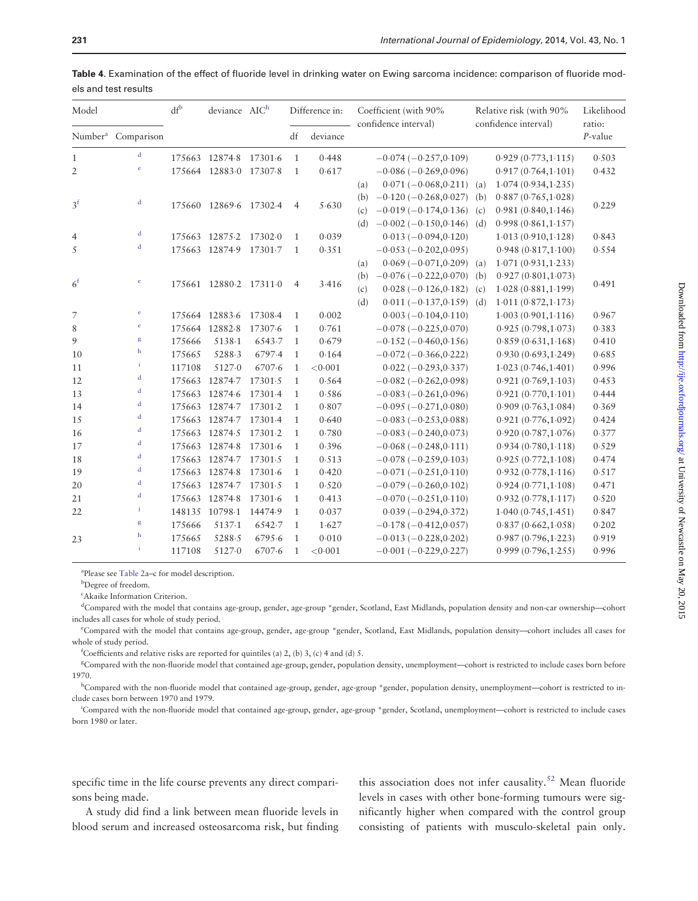| Model          |                                   | dfb    | deviance AICh          |                 |                | Difference in: | Coefficient (with 90%<br>confidence interval) |     | Relative risk (with 90%<br>confidence interval) | Likelihood<br>ratio: |
|----------------|-----------------------------------|--------|------------------------|-----------------|----------------|----------------|-----------------------------------------------|-----|-------------------------------------------------|----------------------|
|                | Number <sup>a</sup> Comparison    |        |                        |                 | df             | deviance       |                                               |     |                                                 | $P$ -value           |
| $\mathbf{1}$   | d                                 |        | 175663 12874.8         | 17301.6         | $\mathbf{1}$   | 0.448          | $-0.074(-0.257, 0.109)$                       |     | 0.929(0.773,1.115)                              | 0.503                |
| 2              | $\rm e$                           |        | 175664 12883-0 17307-8 |                 | 1              | 0.617          | $-0.086(-0.269,0.096)$                        |     | 0.917(0.764,1.101)                              | 0.432                |
|                |                                   |        |                        |                 |                |                | $0.071(-0.068, 0.211)$<br>(a)                 | (a) | 1.074(0.934, 1.235)                             |                      |
|                |                                   |        |                        |                 |                |                | $-0.120(-0.268,0.027)$<br>(b)                 | (b) | 0.887(0.765,1.028)                              |                      |
| 3 <sup>f</sup> | d                                 |        | 175660 12869.6 17302.4 |                 | 4              | 5.630          | $-0.019(-0.174, 0.136)$<br>(c)                | (c) | 0.981(0.840,1.146)                              | 0.229                |
|                |                                   |        |                        |                 |                |                | $-0.002$ ( $-0.150, 0.146$ )<br>(d)           | (d) | 0.998(0.861, 1.157)                             |                      |
| 4              | d                                 | 175663 | 12875.2                | $17302 \cdot 0$ | $\mathbf{1}$   | 0.039          | $0.013 (-0.094, 0.120)$                       |     | 1.013(0.910, 1.128)                             | 0.843                |
| 5              | d                                 |        | 175663 12874.9         | 17301.7         | 1              | 0.351          | $-0.053(-0.202,0.095)$                        |     | 0.948(0.817,1.100)                              | 0.554                |
|                |                                   |        |                        |                 |                |                | $0.069(-0.071, 0.209)$<br>(a)                 | (a) | 1.071(0.931, 1.233)                             |                      |
|                | $\mathbf{e}% _{t}\left( t\right)$ |        |                        |                 |                |                | $-0.076(-0.222,0.070)$<br>(b)                 | (b) | 0.927(0.801, 1.073)                             |                      |
| 6 <sup>f</sup> |                                   |        | 175661 12880.2 17311.0 |                 | $\overline{4}$ | 3.416          | $0.028 (-0.126, 0.182)$<br>(c)                | (c) | 1.028(0.881, 1.199)                             | 0.491                |
|                |                                   |        |                        |                 |                |                | $0.011 (-0.137, 0.159)$ (d)<br>(d)            |     | 1.011(0.872, 1.173)                             |                      |
| 7              | $\mathbf{e}$                      |        | 175664 12883.6         | 17308.4         | $\mathbf{1}$   | 0.002          | $0.003 (-0.104, 0.110)$                       |     | 1.003(0.901, 1.116)                             | 0.967                |
| 8              | $\mathbf{e}% _{t}\left( t\right)$ |        | 175664 12882-8         | 17307.6         | $\mathbf{1}$   | 0.761          | $-0.078(-0.225,0.070)$                        |     | 0.925(0.798,1.073)                              | 0.383                |
| 9              | $\mathbf g$                       | 175666 | 5138.1                 | 6543.7          | $\mathbf{1}$   | 0.679          | $-0.152(-0.460, 0.156)$                       |     | 0.859(0.631,1.168)                              | 0.410                |
| 10             | h                                 | 175665 | 5288.3                 | 6797.4          | 1              | 0.164          | $-0.072$ ( $-0.366$ , 0.222)                  |     | 0.930(0.693,1.249)                              | 0.685                |
| 11             | ÷                                 | 117108 | 5127.0                 | 6707.6          | $\mathbf{1}$   | < 0.001        | $0.022 (-0.293, 0.337)$                       |     | 1.023(0.746, 1.401)                             | 0.996                |
| 12             | $\mathbf d$                       |        | 175663 12874.7         | 17301.5         | 1              | 0.564          | $-0.082$ ( $-0.262, 0.098$ )                  |     | 0.921(0.769,1.103)                              | 0.453                |
| 13             | d                                 |        | 175663 12874.6         | 17301.4         | $\mathbf{1}$   | 0.586          | $-0.083(-0.261,0.096)$                        |     | 0.921(0.770,1.101)                              | 0.444                |
| 14             | d                                 | 175663 | 12874.7                | 17301.2         | $\mathbf{1}$   | 0.807          | $-0.095(-0.271,0.080)$                        |     | 0.909(0.763,1.084)                              | 0.369                |
| 15             | d                                 | 175663 | 12874.7                | 17301.4         | $\mathbf{1}$   | 0.640          | $-0.083(-0.253,0.088)$                        |     | 0.921(0.776,1.092)                              | 0.424                |
| 16             | d                                 | 175663 | 12874.5                | 17301.2         | $\mathbf{1}$   | 0.780          | $-0.083(-0.240, 0.073)$                       |     | 0.920(0.787,1.076)                              | 0.377                |
| 17             | d                                 | 175663 | 12874.8                | $17301 - 6$     | $\mathbf{1}$   | 0.396          | $-0.068(-0.248, 0.111)$                       |     | 0.934(0.780,1.118)                              | 0.529                |
| 18             | $\mathbf d$                       |        | 175663 12874.7         | 17301.5         | $\mathbf{1}$   | 0.513          | $-0.078(-0.259, 0.103)$                       |     | 0.925(0.772,1.108)                              | 0.474                |
| 19             | d                                 |        | 175663 12874.8         | $17301 - 6$     | $\mathbf{1}$   | 0.420          | $-0.071(-0.251, 0.110)$                       |     | 0.932(0.778,1.116)                              | 0.517                |
| 20             | d                                 | 175663 | 12874.7                | 17301.5         | $\mathbf{1}$   | 0.520          | $-0.079(-0.260, 0.102)$                       |     | 0.924(0.771,1.108)                              | 0.471                |
| 21             | d                                 | 175663 | 12874.8                | $17301 - 6$     | $\mathbf{1}$   | 0.413          | $-0.070$ ( $-0.251$ , 0.110)                  |     | 0.932(0.778,1.117)                              | 0.520                |
| 22             | j                                 |        | 148135 10798-1         | 14474.9         | $\mathbf{1}$   | 0.037          | $0.039(-0.294, 0.372)$                        |     | 1.040(0.745, 1.451)                             | 0.847                |
|                | $\mathbf g$                       | 175666 | 5137.1                 | 6542.7          | $\mathbf{1}$   | 1.627          | $-0.178(-0.412,0.057)$                        |     | 0.837(0.662,1.058)                              | 0.202                |
| 23             | h                                 | 175665 | 5288.5                 | 6795.6          | 1              | 0.010          | $-0.013(-0.228, 0.202)$                       |     | 0.987(0.796,1.223)                              | 0.919                |
|                | ï                                 | 117108 | 5127.0                 | 6707.6          | $\mathbf{1}$   | < 0.001        | $-0.001(-0.229, 0.227)$                       |     | 0.999(0.796,1.255)                              | 0.996                |

<span id="page-8-0"></span>Table 4. Examination of the effect of fluoride level in drinking water on Ewing sarcoma incidence: comparison of fluoride models and test results

a Please see Table 2a–c for model description.

<sup>b</sup>Degree of freedom.

c Akaike Information Criterion.

d Compared with the model that contains age-group, gender, age-group \*gender, Scotland, East Midlands, population density and non-car ownership—cohort includes all cases for whole of study period.

e Compared with the model that contains age-group, gender, age-group \*gender, Scotland, East Midlands, population density—cohort includes all cases for whole of study period.

<sup>f</sup>Coefficients and relative risks are reported for quintiles (a) 2, (b) 3, (c) 4 and (d) 5.

<sup>g</sup>Compared with the non-fluoride model that contained age-group, gender, population density, unemployment—cohort is restricted to include cases born before 1970.

<sup>h</sup>Compared with the non-fluoride model that contained age-group, gender, age-group \*gender, population density, unemployment—cohort is restricted to include cases born between 1970 and 1979.

i Compared with the non-fluoride model that contained age-group, gender, age-group \*gender, Scotland, unemployment—cohort is restricted to include cases born 1980 or later.

specific time in the life course prevents any direct comparisons being made.

A study did find a link between mean fluoride levels in blood serum and increased osteosarcoma risk, but finding this association does not infer causality.<sup>[52](#page-11-0)</sup> Mean fluoride levels in cases with other bone-forming tumours were significantly higher when compared with the control group consisting of patients with musculo-skeletal pain only.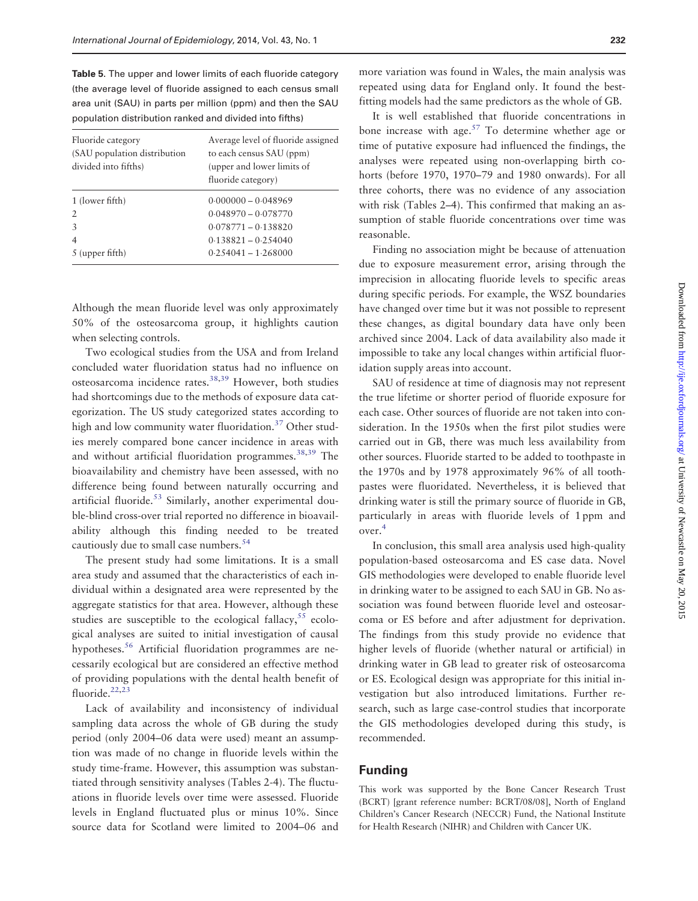Table 5. The upper and lower limits of each fluoride category (the average level of fluoride assigned to each census small area unit (SAU) in parts per million (ppm) and then the SAU population distribution ranked and divided into fifths)

| (SAU population distribution | (upper and lower limits of |
|------------------------------|----------------------------|
| divided into fifths)         | fluoride category)         |
| 1 (lower fifth)              | $0.000000 - 0.048969$      |
| 2                            | $0.048970 - 0.078770$      |
| 3                            | $0.078771 - 0.138820$      |
| $\overline{4}$               | $0.138821 - 0.254040$      |
| $5$ (upper fifth)            | $0.254041 - 1.268000$      |

Although the mean fluoride level was only approximately 50% of the osteosarcoma group, it highlights caution when selecting controls.

Two ecological studies from the USA and from Ireland concluded water fluoridation status had no influence on osteosarcoma incidence rates.[38,39](#page-11-0) However, both studies had shortcomings due to the methods of exposure data categorization. The US study categorized states according to high and low community water fluoridation.<sup>[37](#page-11-0)</sup> Other studies merely compared bone cancer incidence in areas with and without artificial fluoridation programmes[.38,39](#page-11-0) The bioavailability and chemistry have been assessed, with no difference being found between naturally occurring and artificial fluoride.<sup>53</sup> Similarly, another experimental double-blind cross-over trial reported no difference in bioavailability although this finding needed to be treated cautiously due to small case numbers.<sup>54</sup>

The present study had some limitations. It is a small area study and assumed that the characteristics of each individual within a designated area were represented by the aggregate statistics for that area. However, although these studies are susceptible to the ecological fallacy,  $55 \text{ ecolo}$  $55 \text{ ecolo}$ gical analyses are suited to initial investigation of causal hypotheses.<sup>56</sup> Artificial fluoridation programmes are necessarily ecological but are considered an effective method of providing populations with the dental health benefit of fluoride. $22,23$ 

Lack of availability and inconsistency of individual sampling data across the whole of GB during the study period (only 2004–06 data were used) meant an assumption was made of no change in fluoride levels within the study time-frame. However, this assumption was substantiated through sensitivity analyses (Tables 2-4). The fluctuations in fluoride levels over time were assessed. Fluoride levels in England fluctuated plus or minus 10%. Since source data for Scotland were limited to 2004–06 and more variation was found in Wales, the main analysis was repeated using data for England only. It found the bestfitting models had the same predictors as the whole of GB.

It is well established that fluoride concentrations in bone increase with age.<sup>[57](#page-11-0)</sup> To determine whether age or time of putative exposure had influenced the findings, the analyses were repeated using non-overlapping birth cohorts (before 1970, 1970–79 and 1980 onwards). For all three cohorts, there was no evidence of any association with risk (Tables 2–4). This confirmed that making an assumption of stable fluoride concentrations over time was reasonable.

Finding no association might be because of attenuation due to exposure measurement error, arising through the imprecision in allocating fluoride levels to specific areas during specific periods. For example, the WSZ boundaries have changed over time but it was not possible to represent these changes, as digital boundary data have only been archived since 2004. Lack of data availability also made it impossible to take any local changes within artificial fluoridation supply areas into account.

SAU of residence at time of diagnosis may not represent the true lifetime or shorter period of fluoride exposure for each case. Other sources of fluoride are not taken into consideration. In the 1950s when the first pilot studies were carried out in GB, there was much less availability from other sources. Fluoride started to be added to toothpaste in the 1970s and by 1978 approximately 96% of all toothpastes were fluoridated. Nevertheless, it is believed that drinking water is still the primary source of fluoride in GB, particularly in areas with fluoride levels of 1 ppm and over[.4](#page-10-0)

In conclusion, this small area analysis used high-quality population-based osteosarcoma and ES case data. Novel GIS methodologies were developed to enable fluoride level in drinking water to be assigned to each SAU in GB. No association was found between fluoride level and osteosarcoma or ES before and after adjustment for deprivation. The findings from this study provide no evidence that higher levels of fluoride (whether natural or artificial) in drinking water in GB lead to greater risk of osteosarcoma or ES. Ecological design was appropriate for this initial investigation but also introduced limitations. Further research, such as large case-control studies that incorporate the GIS methodologies developed during this study, is recommended.

## Funding

This work was supported by the Bone Cancer Research Trust (BCRT) [grant reference number: BCRT/08/08], North of England Children's Cancer Research (NECCR) Fund, the National Institute for Health Research (NIHR) and Children with Cancer UK.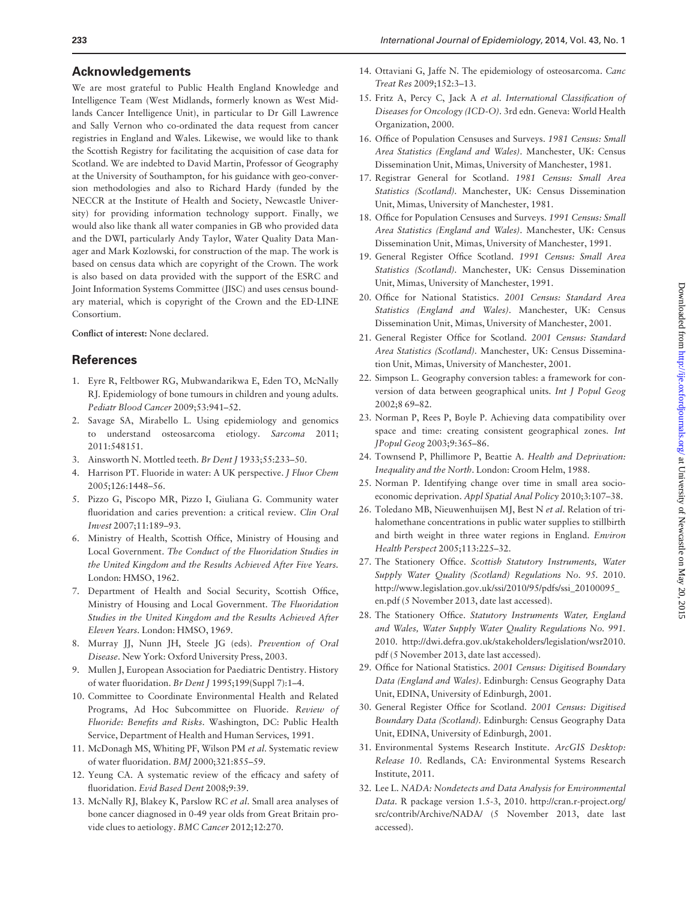# <span id="page-10-0"></span>Acknowledgements

We are most grateful to Public Health England Knowledge and Intelligence Team (West Midlands, formerly known as West Midlands Cancer Intelligence Unit), in particular to Dr Gill Lawrence and Sally Vernon who co-ordinated the data request from cancer registries in England and Wales. Likewise, we would like to thank the Scottish Registry for facilitating the acquisition of case data for Scotland. We are indebted to David Martin, Professor of Geography at the University of Southampton, for his guidance with geo-conversion methodologies and also to Richard Hardy (funded by the NECCR at the Institute of Health and Society, Newcastle University) for providing information technology support. Finally, we would also like thank all water companies in GB who provided data and the DWI, particularly Andy Taylor, Water Quality Data Manager and Mark Kozlowski, for construction of the map. The work is based on census data which are copyright of the Crown. The work is also based on data provided with the support of the ESRC and Joint Information Systems Committee (JISC) and uses census boundary material, which is copyright of the Crown and the ED-LINE Consortium.

Conflict of interest: None declared.

# References

- 1. Eyre R, Feltbower RG, Mubwandarikwa E, Eden TO, McNally RJ. Epidemiology of bone tumours in children and young adults. Pediatr Blood Cancer 2009;53:941–52.
- 2. Savage SA, Mirabello L. Using epidemiology and genomics to understand osteosarcoma etiology. Sarcoma 2011; 2011:548151.
- 3. Ainsworth N. Mottled teeth. Br Dent J 1933;55:233–50.
- 4. Harrison PT. Fluoride in water: A UK perspective. *J Fluor Chem* 2005;126:1448–56.
- 5. Pizzo G, Piscopo MR, Pizzo I, Giuliana G. Community water fluoridation and caries prevention: a critical review. Clin Oral Invest 2007;11:189–93.
- 6. Ministry of Health, Scottish Office, Ministry of Housing and Local Government. The Conduct of the Fluoridation Studies in the United Kingdom and the Results Achieved After Five Years. London: HMSO, 1962.
- 7. Department of Health and Social Security, Scottish Office, Ministry of Housing and Local Government. The Fluoridation Studies in the United Kingdom and the Results Achieved After Eleven Years. London: HMSO, 1969.
- 8. Murray JJ, Nunn JH, Steele JG (eds). Prevention of Oral Disease. New York: Oxford University Press, 2003.
- 9. Mullen J, European Association for Paediatric Dentistry. History of water fluoridation. Br Dent J 1995;199(Suppl 7):1–4.
- 10. Committee to Coordinate Environmental Health and Related Programs, Ad Hoc Subcommittee on Fluoride. Review of Fluoride: Benefits and Risks. Washington, DC: Public Health Service, Department of Health and Human Services, 1991.
- 11. McDonagh MS, Whiting PF, Wilson PM et al. Systematic review of water fluoridation. BMJ 2000;321:855–59.
- 12. Yeung CA. A systematic review of the efficacy and safety of fluoridation. Evid Based Dent 2008;9:39.
- 13. McNally RJ, Blakey K, Parslow RC et al. Small area analyses of bone cancer diagnosed in 0-49 year olds from Great Britain provide clues to aetiology. BMC Cancer 2012;12:270.
- 14. Ottaviani G, Jaffe N. The epidemiology of osteosarcoma. Canc Treat Res 2009;152:3–13.
- 15. Fritz A, Percy C, Jack A et al. International Classification of Diseases for Oncology (ICD-O). 3rd edn. Geneva: World Health Organization, 2000.
- 16. Office of Population Censuses and Surveys. 1981 Census: Small Area Statistics (England and Wales). Manchester, UK: Census Dissemination Unit, Mimas, University of Manchester, 1981.
- 17. Registrar General for Scotland. 1981 Census: Small Area Statistics (Scotland). Manchester, UK: Census Dissemination Unit, Mimas, University of Manchester, 1981.
- 18. Office for Population Censuses and Surveys. 1991 Census: Small Area Statistics (England and Wales). Manchester, UK: Census Dissemination Unit, Mimas, University of Manchester, 1991.
- 19. General Register Office Scotland. 1991 Census: Small Area Statistics (Scotland). Manchester, UK: Census Dissemination Unit, Mimas, University of Manchester, 1991.
- 20. Office for National Statistics. 2001 Census: Standard Area Statistics (England and Wales). Manchester, UK: Census Dissemination Unit, Mimas, University of Manchester, 2001.
- 21. General Register Office for Scotland. 2001 Census: Standard Area Statistics (Scotland). Manchester, UK: Census Dissemination Unit, Mimas, University of Manchester, 2001.
- 22. Simpson L. Geography conversion tables: a framework for conversion of data between geographical units. Int J Popul Geog 2002;8 69–82.
- 23. Norman P, Rees P, Boyle P. Achieving data compatibility over space and time: creating consistent geographical zones. Int JPopul Geog 2003;9:365–86.
- 24. Townsend P, Phillimore P, Beattie A. Health and Deprivation: Inequality and the North. London: Croom Helm, 1988.
- 25. Norman P. Identifying change over time in small area socioeconomic deprivation. Appl Spatial Anal Policy 2010;3:107–38.
- 26. Toledano MB, Nieuwenhuijsen MJ, Best N et al. Relation of trihalomethane concentrations in public water supplies to stillbirth and birth weight in three water regions in England. Environ Health Perspect 2005;113:225–32.
- 27. The Stationery Office. Scottish Statutory Instruments, Water Supply Water Quality (Scotland) Regulations No. 95. 2010. [http://www.legislation.gov.uk/ssi/2010/95/pdfs/ssi\\_20100095\\_](http://www.legislation.gov.uk/ssi/2010/95/pdfs/ssi_20100095_en.pdf) [en.pdf](http://www.legislation.gov.uk/ssi/2010/95/pdfs/ssi_20100095_en.pdf) (5 November 2013, date last accessed).
- 28. The Stationery Office. Statutory Instruments Water, England and Wales, Water Supply Water Quality Regulations No. 991. 2010. [http://dwi.defra.gov.uk/stakeholders/legislation/wsr2010.](http://dwi.defra.gov.uk/stakeholders/legislation/wsr2010.pdf) [pdf](http://dwi.defra.gov.uk/stakeholders/legislation/wsr2010.pdf) (5 November 2013, date last accessed).
- 29. Office for National Statistics. 2001 Census: Digitised Boundary Data (England and Wales). Edinburgh: Census Geography Data Unit, EDINA, University of Edinburgh, 2001.
- 30. General Register Office for Scotland. 2001 Census: Digitised Boundary Data (Scotland). Edinburgh: Census Geography Data Unit, EDINA, University of Edinburgh, 2001.
- 31. Environmental Systems Research Institute. ArcGIS Desktop: Release 10. Redlands, CA: Environmental Systems Research Institute, 2011.
- 32. Lee L. NADA: Nondetects and Data Analysis for Environmental Data. R package version 1.5-3, 2010. [http://cran.r-project.org/](http://cran.r-project.org/src/contrib/Archive/NADA/) [src/contrib/Archive/NADA/](http://cran.r-project.org/src/contrib/Archive/NADA/) (5 November 2013, date last accessed).